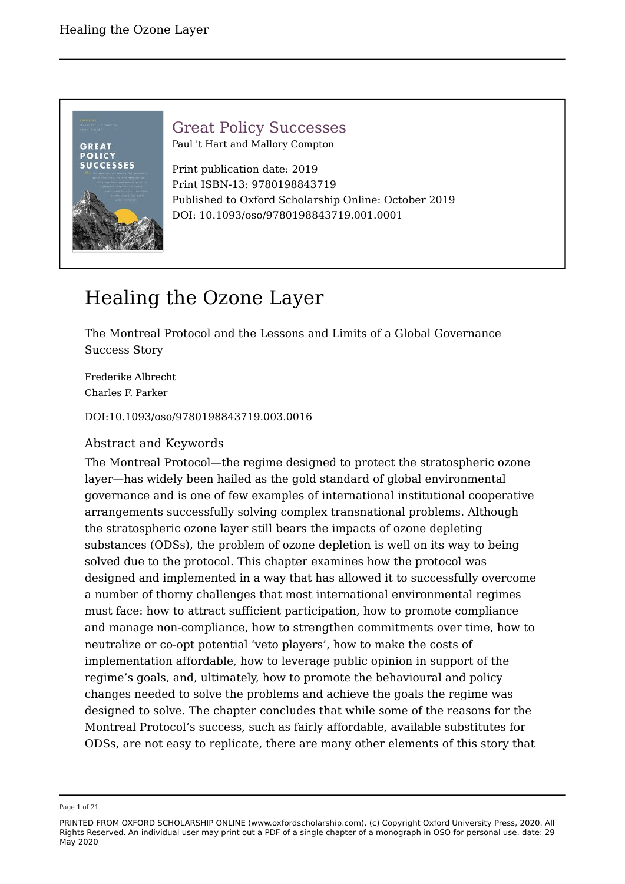

# [Great Policy Successes](https://www.oxfordscholarship.com/view/10.1093/oso/9780198843719.001.0001/oso-9780198843719) Paul 't Hart and Mallory Compton

Print publication date: 2019 Print ISBN-13: 9780198843719 Published to Oxford Scholarship Online: October 2019 DOI: 10.1093/oso/9780198843719.001.0001

# Healing the Ozone Layer

The Montreal Protocol and the Lessons and Limits of a Global Governance Success Story

Frederike Albrecht Charles F. Parker

DOI:10.1093/oso/9780198843719.003.0016

# Abstract and Keywords

The Montreal Protocol—the regime designed to protect the stratospheric ozone layer—has widely been hailed as the gold standard of global environmental governance and is one of few examples of international institutional cooperative arrangements successfully solving complex transnational problems. Although the stratospheric ozone layer still bears the impacts of ozone depleting substances (ODSs), the problem of ozone depletion is well on its way to being solved due to the protocol. This chapter examines how the protocol was designed and implemented in a way that has allowed it to successfully overcome a number of thorny challenges that most international environmental regimes must face: how to attract sufficient participation, how to promote compliance and manage non-compliance, how to strengthen commitments over time, how to neutralize or co-opt potential 'veto players', how to make the costs of implementation affordable, how to leverage public opinion in support of the regime's goals, and, ultimately, how to promote the behavioural and policy changes needed to solve the problems and achieve the goals the regime was designed to solve. The chapter concludes that while some of the reasons for the Montreal Protocol's success, such as fairly affordable, available substitutes for ODSs, are not easy to replicate, there are many other elements of this story that

Page 1 of 21

PRINTED FROM OXFORD SCHOLARSHIP ONLINE (www.oxfordscholarship.com). (c) Copyright Oxford University Press, 2020. All Rights Reserved. An individual user may print out a PDF of a single chapter of a monograph in OSO for personal use. date: 29 May 2020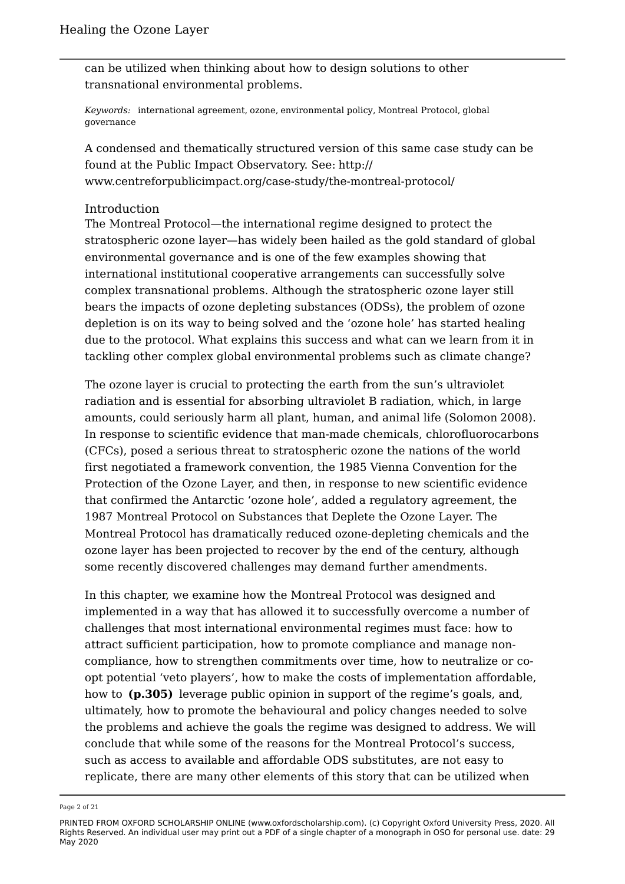can be utilized when thinking about how to design solutions to other transnational environmental problems.

*Keywords:* [international agreement](https://www.universitypressscholarship.com/search?f_0=keywords&q_0=international agreement), [ozone,](https://www.universitypressscholarship.com/search?f_0=keywords&q_0=ozone) [environmental policy](https://www.universitypressscholarship.com/search?f_0=keywords&q_0=environmental policy), [Montreal Protocol](https://www.universitypressscholarship.com/search?f_0=keywords&q_0=Montreal Protocol), [global](https://www.universitypressscholarship.com/search?f_0=keywords&q_0=global governance) [governance](https://www.universitypressscholarship.com/search?f_0=keywords&q_0=global governance)

A condensed and thematically structured version of this same case study can be found at the Public Impact Observatory. See: [http://](http://www.centreforpublicimpact.org/case-study/the-montreal-protocol/) [www.centreforpublicimpact.org/case-study/the-montreal-protocol/](http://www.centreforpublicimpact.org/case-study/the-montreal-protocol/)

#### Introduction

The Montreal Protocol—the international regime designed to protect the stratospheric ozone layer—has widely been hailed as the gold standard of global environmental governance and is one of the few examples showing that international institutional cooperative arrangements can successfully solve complex transnational problems. Although the stratospheric ozone layer still bears the impacts of ozone depleting substances (ODSs), the problem of ozone depletion is on its way to being solved and the 'ozone hole' has started healing due to the protocol. What explains this success and what can we learn from it in tackling other complex global environmental problems such as climate change?

The ozone layer is crucial to protecting the earth from the sun's ultraviolet radiation and is essential for absorbing ultraviolet B radiation, which, in large amounts, could seriously harm all plant, human, and animal life (Solomon [2008](https://www.oxfordscholarship.com/view/10.1093/oso/9780198843719.001.0001/oso-9780198843719-chapter-16#oso-9780198843719-chapter-16-bibItem-702)). In response to scientific evidence that man-made chemicals, chlorofluorocarbons (CFCs), posed a serious threat to stratospheric ozone the nations of the world first negotiated a framework convention, the 1985 Vienna Convention for the Protection of the Ozone Layer, and then, in response to new scientific evidence that confirmed the Antarctic 'ozone hole', added a regulatory agreement, the 1987 Montreal Protocol on Substances that Deplete the Ozone Layer. The Montreal Protocol has dramatically reduced ozone-depleting chemicals and the ozone layer has been projected to recover by the end of the century, although some recently discovered challenges may demand further amendments.

In this chapter, we examine how the Montreal Protocol was designed and implemented in a way that has allowed it to successfully overcome a number of challenges that most international environmental regimes must face: how to attract sufficient participation, how to promote compliance and manage noncompliance, how to strengthen commitments over time, how to neutralize or coopt potential 'veto players', how to make the costs of implementation affordable, how to **(p.305)** leverage public opinion in support of the regime's goals, and, ultimately, how to promote the behavioural and policy changes needed to solve the problems and achieve the goals the regime was designed to address. We will conclude that while some of the reasons for the Montreal Protocol's success, such as access to available and affordable ODS substitutes, are not easy to replicate, there are many other elements of this story that can be utilized when

Page 2 of 21

PRINTED FROM OXFORD SCHOLARSHIP ONLINE (www.oxfordscholarship.com). (c) Copyright Oxford University Press, 2020. All Rights Reserved. An individual user may print out a PDF of a single chapter of a monograph in OSO for personal use. date: 29 May 2020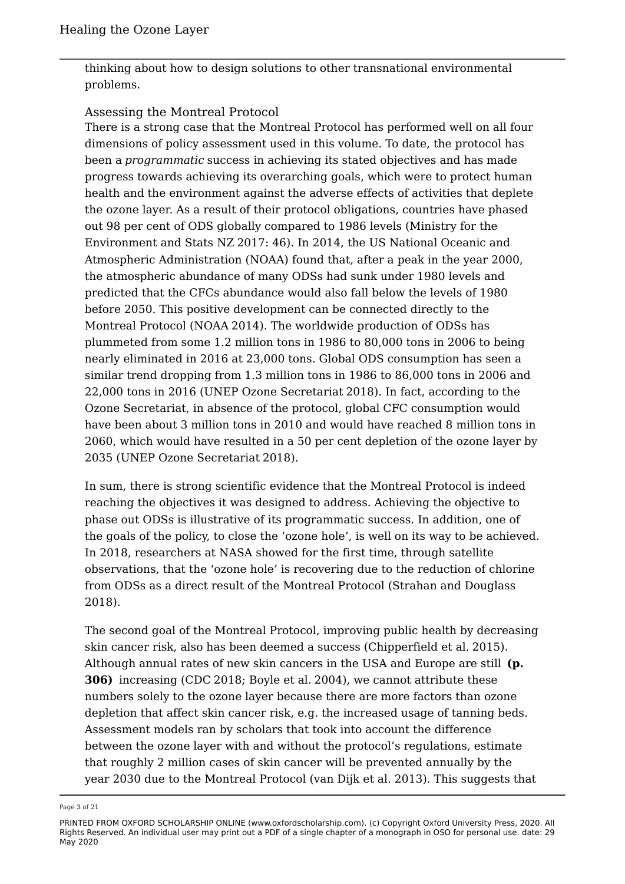thinking about how to design solutions to other transnational environmental problems.

# Assessing the Montreal Protocol

There is a strong case that the Montreal Protocol has performed well on all four dimensions of policy assessment used in this volume. To date, the protocol has been a *programmatic* success in achieving its stated objectives and has made progress towards achieving its overarching goals, which were to protect human health and the environment against the adverse effects of activities that deplete the ozone layer. As a result of their protocol obligations, countries have phased out 98 per cent of ODS globally compared to 1986 levels (Ministry for the Environment and Stats NZ [2017:](https://www.oxfordscholarship.com/view/10.1093/oso/9780198843719.001.0001/oso-9780198843719-chapter-16#oso-9780198843719-chapter-16-bibItem-686) 46). In 2014, the US National Oceanic and Atmospheric Administration (NOAA) found that, after a peak in the year 2000, the atmospheric abundance of many ODSs had sunk under 1980 levels and predicted that the CFCs abundance would also fall below the levels of 1980 before 2050. This positive development can be connected directly to the Montreal Protocol (NOAA [2014](https://www.oxfordscholarship.com/view/10.1093/oso/9780198843719.001.0001/oso-9780198843719-chapter-16#oso-9780198843719-chapter-16-bibItem-688)). The worldwide production of ODSs has plummeted from some 1.2 million tons in 1986 to 80,000 tons in 2006 to being nearly eliminated in 2016 at 23,000 tons. Global ODS consumption has seen a similar trend dropping from 1.3 million tons in 1986 to 86,000 tons in 2006 and 22,000 tons in 2016 (UNEP Ozone Secretariat [2018](https://www.oxfordscholarship.com/view/10.1093/oso/9780198843719.001.0001/oso-9780198843719-chapter-16#oso-9780198843719-chapter-16-bibItem-707)). In fact, according to the Ozone Secretariat, in absence of the protocol, global CFC consumption would have been about 3 million tons in 2010 and would have reached 8 million tons in 2060, which would have resulted in a 50 per cent depletion of the ozone layer by 2035 (UNEP Ozone Secretariat [2018\)](https://www.oxfordscholarship.com/view/10.1093/oso/9780198843719.001.0001/oso-9780198843719-chapter-16#oso-9780198843719-chapter-16-bibItem-707).

In sum, there is strong scientific evidence that the Montreal Protocol is indeed reaching the objectives it was designed to address. Achieving the objective to phase out ODSs is illustrative of its programmatic success. In addition, one of the goals of the policy, to close the 'ozone hole', is well on its way to be achieved. In 2018, researchers at NASA showed for the first time, through satellite observations, that the 'ozone hole' is recovering due to the reduction of chlorine from ODSs as a direct result of the Montreal Protocol (Strahan and Douglass 2018).

The second goal of the Montreal Protocol, improving public health by decreasing skin cancer risk, also has been deemed a success (Chipperfield et al. [2015\)](https://www.oxfordscholarship.com/view/10.1093/oso/9780198843719.001.0001/oso-9780198843719-chapter-16#oso-9780198843719-chapter-16-bibItem-675). Although annual rates of new skin cancers in the USA and Europe are still **(p. 306)** increasing (CDC [2018](https://www.oxfordscholarship.com/view/10.1093/oso/9780198843719.001.0001/oso-9780198843719-chapter-16#oso-9780198843719-chapter-16-bibItem-673); Boyle et al. [2004](https://www.oxfordscholarship.com/view/10.1093/oso/9780198843719.001.0001/oso-9780198843719-chapter-16#oso-9780198843719-chapter-16-bibItem-671)), we cannot attribute these numbers solely to the ozone layer because there are more factors than ozone depletion that affect skin cancer risk, e.g. the increased usage of tanning beds. Assessment models ran by scholars that took into account the difference between the ozone layer with and without the protocol's regulations, estimate that roughly 2 million cases of skin cancer will be prevented annually by the year 2030 due to the Montreal Protocol (van Dijk et al. 2013). This suggests that

Page 3 of 21

PRINTED FROM OXFORD SCHOLARSHIP ONLINE (www.oxfordscholarship.com). (c) Copyright Oxford University Press, 2020. All Rights Reserved. An individual user may print out a PDF of a single chapter of a monograph in OSO for personal use. date: 29 May 2020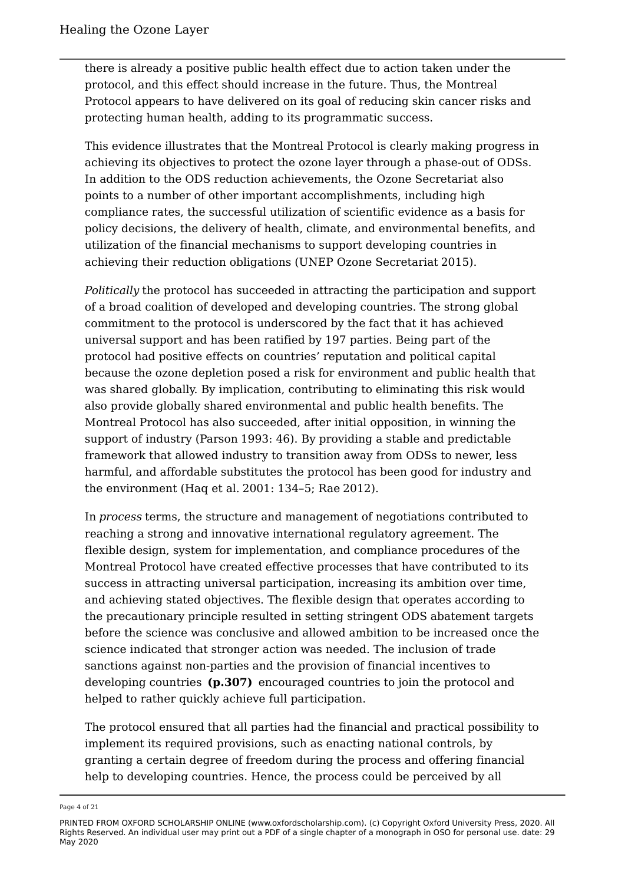there is already a positive public health effect due to action taken under the protocol, and this effect should increase in the future. Thus, the Montreal Protocol appears to have delivered on its goal of reducing skin cancer risks and protecting human health, adding to its programmatic success.

This evidence illustrates that the Montreal Protocol is clearly making progress in achieving its objectives to protect the ozone layer through a phase-out of ODSs. In addition to the ODS reduction achievements, the Ozone Secretariat also points to a number of other important accomplishments, including high compliance rates, the successful utilization of scientific evidence as a basis for policy decisions, the delivery of health, climate, and environmental benefits, and utilization of the financial mechanisms to support developing countries in achieving their reduction obligations (UNEP Ozone Secretariat [2015](https://www.oxfordscholarship.com/view/10.1093/oso/9780198843719.001.0001/oso-9780198843719-chapter-16#oso-9780198843719-chapter-16-bibItem-706)).

*Politically* the protocol has succeeded in attracting the participation and support of a broad coalition of developed and developing countries. The strong global commitment to the protocol is underscored by the fact that it has achieved universal support and has been ratified by 197 parties. Being part of the protocol had positive effects on countries' reputation and political capital because the ozone depletion posed a risk for environment and public health that was shared globally. By implication, contributing to eliminating this risk would also provide globally shared environmental and public health benefits. The Montreal Protocol has also succeeded, after initial opposition, in winning the support of industry (Parson [1993](https://www.oxfordscholarship.com/view/10.1093/oso/9780198843719.001.0001/oso-9780198843719-chapter-16#oso-9780198843719-chapter-16-bibItem-697): 46). By providing a stable and predictable framework that allowed industry to transition away from ODSs to newer, less harmful, and affordable substitutes the protocol has been good for industry and the environment (Haq et al. [2001](https://www.oxfordscholarship.com/view/10.1093/oso/9780198843719.001.0001/oso-9780198843719-chapter-16#oso-9780198843719-chapter-16-bibItem-680): 134–5; Rae [2012\)](https://www.oxfordscholarship.com/view/10.1093/oso/9780198843719.001.0001/oso-9780198843719-chapter-16#oso-9780198843719-chapter-16-bibItem-700).

In *process* terms, the structure and management of negotiations contributed to reaching a strong and innovative international regulatory agreement. The flexible design, system for implementation, and compliance procedures of the Montreal Protocol have created effective processes that have contributed to its success in attracting universal participation, increasing its ambition over time, and achieving stated objectives. The flexible design that operates according to the precautionary principle resulted in setting stringent ODS abatement targets before the science was conclusive and allowed ambition to be increased once the science indicated that stronger action was needed. The inclusion of trade sanctions against non-parties and the provision of financial incentives to developing countries **(p.307)** encouraged countries to join the protocol and helped to rather quickly achieve full participation.

The protocol ensured that all parties had the financial and practical possibility to implement its required provisions, such as enacting national controls, by granting a certain degree of freedom during the process and offering financial help to developing countries. Hence, the process could be perceived by all

Page 4 of 21

PRINTED FROM OXFORD SCHOLARSHIP ONLINE (www.oxfordscholarship.com). (c) Copyright Oxford University Press, 2020. All Rights Reserved. An individual user may print out a PDF of a single chapter of a monograph in OSO for personal use. date: 29 May 2020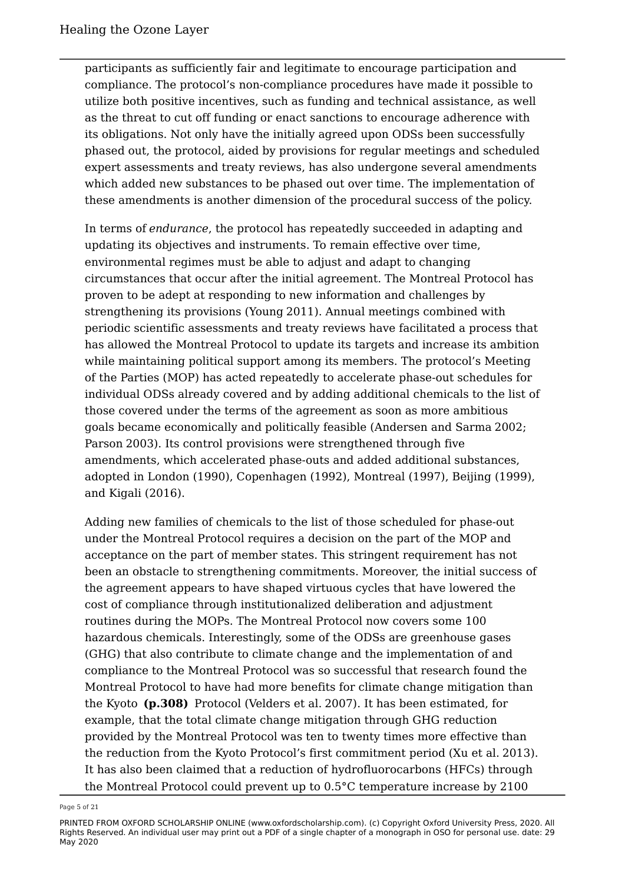participants as sufficiently fair and legitimate to encourage participation and compliance. The protocol's non-compliance procedures have made it possible to utilize both positive incentives, such as funding and technical assistance, as well as the threat to cut off funding or enact sanctions to encourage adherence with its obligations. Not only have the initially agreed upon ODSs been successfully phased out, the protocol, aided by provisions for regular meetings and scheduled expert assessments and treaty reviews, has also undergone several amendments which added new substances to be phased out over time. The implementation of these amendments is another dimension of the procedural success of the policy.

In terms of *endurance*, the protocol has repeatedly succeeded in adapting and updating its objectives and instruments. To remain effective over time, environmental regimes must be able to adjust and adapt to changing circumstances that occur after the initial agreement. The Montreal Protocol has proven to be adept at responding to new information and challenges by strengthening its provisions (Young [2011](https://www.oxfordscholarship.com/view/10.1093/oso/9780198843719.001.0001/oso-9780198843719-chapter-16#oso-9780198843719-chapter-16-bibItem-716)). Annual meetings combined with periodic scientific assessments and treaty reviews have facilitated a process that has allowed the Montreal Protocol to update its targets and increase its ambition while maintaining political support among its members. The protocol's Meeting of the Parties (MOP) has acted repeatedly to accelerate phase-out schedules for individual ODSs already covered and by adding additional chemicals to the list of those covered under the terms of the agreement as soon as more ambitious goals became economically and politically feasible (Andersen and Sarma [2002;](https://www.oxfordscholarship.com/view/10.1093/oso/9780198843719.001.0001/oso-9780198843719-chapter-16#oso-9780198843719-chapter-16-bibItem-666) Parson [2003\)](https://www.oxfordscholarship.com/view/10.1093/oso/9780198843719.001.0001/oso-9780198843719-chapter-16#oso-9780198843719-chapter-16-bibItem-698). Its control provisions were strengthened through five amendments, which accelerated phase-outs and added additional substances, adopted in London (1990), Copenhagen (1992), Montreal (1997), Beijing (1999), and Kigali (2016).

Adding new families of chemicals to the list of those scheduled for phase-out under the Montreal Protocol requires a decision on the part of the MOP and acceptance on the part of member states. This stringent requirement has not been an obstacle to strengthening commitments. Moreover, the initial success of the agreement appears to have shaped virtuous cycles that have lowered the cost of compliance through institutionalized deliberation and adjustment routines during the MOPs. The Montreal Protocol now covers some 100 hazardous chemicals. Interestingly, some of the ODSs are greenhouse gases (GHG) that also contribute to climate change and the implementation of and compliance to the Montreal Protocol was so successful that research found the Montreal Protocol to have had more benefits for climate change mitigation than the Kyoto **(p.308)** Protocol (Velders et al. [2007](https://www.oxfordscholarship.com/view/10.1093/oso/9780198843719.001.0001/oso-9780198843719-chapter-16#oso-9780198843719-chapter-16-bibItem-710)). It has been estimated, for example, that the total climate change mitigation through GHG reduction provided by the Montreal Protocol was ten to twenty times more effective than the reduction from the Kyoto Protocol's first commitment period (Xu et al. [2013](https://www.oxfordscholarship.com/view/10.1093/oso/9780198843719.001.0001/oso-9780198843719-chapter-16#oso-9780198843719-chapter-16-bibItem-714)). It has also been claimed that a reduction of hydrofluorocarbons (HFCs) through the Montreal Protocol could prevent up to 0.5°C temperature increase by 2100

Page 5 of 21

PRINTED FROM OXFORD SCHOLARSHIP ONLINE (www.oxfordscholarship.com). (c) Copyright Oxford University Press, 2020. All Rights Reserved. An individual user may print out a PDF of a single chapter of a monograph in OSO for personal use. date: 29 May 2020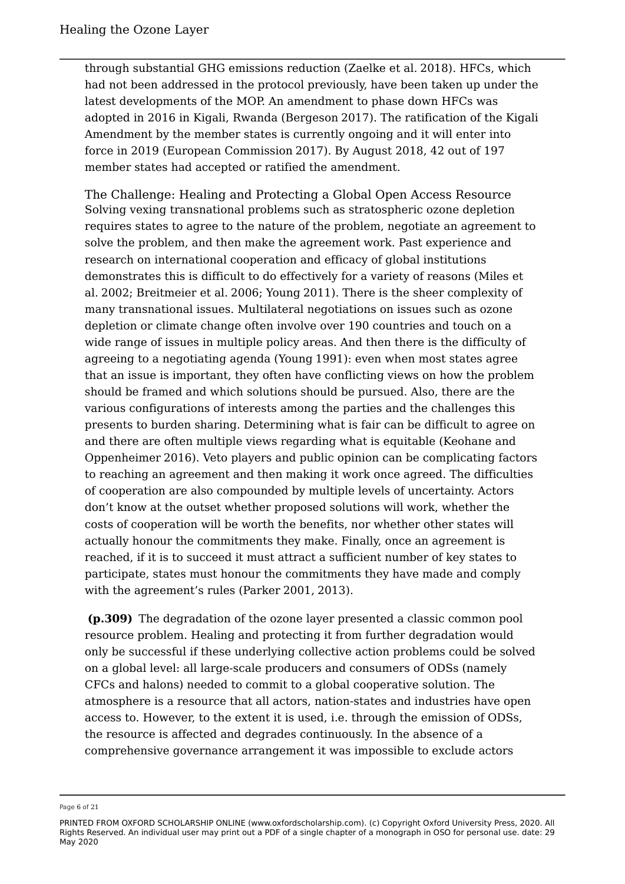through substantial GHG emissions reduction (Zaelke et al. [2018](https://www.oxfordscholarship.com/view/10.1093/oso/9780198843719.001.0001/oso-9780198843719-chapter-16#oso-9780198843719-chapter-16-bibItem-717)). HFCs, which had not been addressed in the protocol previously, have been taken up under the latest developments of the MOP. An amendment to phase down HFCs was adopted in 2016 in Kigali, Rwanda (Bergeson [2017\)](https://www.oxfordscholarship.com/view/10.1093/oso/9780198843719.001.0001/oso-9780198843719-chapter-16#oso-9780198843719-chapter-16-bibItem-670). The ratification of the Kigali Amendment by the member states is currently ongoing and it will enter into force in 2019 (European Commission [2017](https://www.oxfordscholarship.com/view/10.1093/oso/9780198843719.001.0001/oso-9780198843719-chapter-16#oso-9780198843719-chapter-16-bibItem-678)). By August 2018, 42 out of 197 member states had accepted or ratified the amendment.

The Challenge: Healing and Protecting a Global Open Access Resource Solving vexing transnational problems such as stratospheric ozone depletion requires states to agree to the nature of the problem, negotiate an agreement to solve the problem, and then make the agreement work. Past experience and research on international cooperation and efficacy of global institutions demonstrates this is difficult to do effectively for a variety of reasons (Miles et al. [2002](https://www.oxfordscholarship.com/view/10.1093/oso/9780198843719.001.0001/oso-9780198843719-chapter-16#oso-9780198843719-chapter-16-bibItem-685); Breitmeier et al. [2006;](https://www.oxfordscholarship.com/view/10.1093/oso/9780198843719.001.0001/oso-9780198843719-chapter-16#oso-9780198843719-chapter-16-bibItem-672) Young [2011\)](https://www.oxfordscholarship.com/view/10.1093/oso/9780198843719.001.0001/oso-9780198843719-chapter-16#oso-9780198843719-chapter-16-bibItem-716). There is the sheer complexity of many transnational issues. Multilateral negotiations on issues such as ozone depletion or climate change often involve over 190 countries and touch on a wide range of issues in multiple policy areas. And then there is the difficulty of agreeing to a negotiating agenda (Young [1991](https://www.oxfordscholarship.com/view/10.1093/oso/9780198843719.001.0001/oso-9780198843719-chapter-16#oso-9780198843719-chapter-16-bibItem-715)): even when most states agree that an issue is important, they often have conflicting views on how the problem should be framed and which solutions should be pursued. Also, there are the various configurations of interests among the parties and the challenges this presents to burden sharing. Determining what is fair can be difficult to agree on and there are often multiple views regarding what is equitable (Keohane and Oppenheimer [2016\)](https://www.oxfordscholarship.com/view/10.1093/oso/9780198843719.001.0001/oso-9780198843719-chapter-16#oso-9780198843719-chapter-16-bibItem-683). Veto players and public opinion can be complicating factors to reaching an agreement and then making it work once agreed. The difficulties of cooperation are also compounded by multiple levels of uncertainty. Actors don't know at the outset whether proposed solutions will work, whether the costs of cooperation will be worth the benefits, nor whether other states will actually honour the commitments they make. Finally, once an agreement is reached, if it is to succeed it must attract a sufficient number of key states to participate, states must honour the commitments they have made and comply with the agreement's rules (Parker [2001,](https://www.oxfordscholarship.com/view/10.1093/oso/9780198843719.001.0001/oso-9780198843719-chapter-16#oso-9780198843719-chapter-16-bibItem-692) [2013](https://www.oxfordscholarship.com/view/10.1093/oso/9780198843719.001.0001/oso-9780198843719-chapter-16#oso-9780198843719-chapter-16-bibItem-694)).

 **(p.309)** The degradation of the ozone layer presented a classic common pool resource problem. Healing and protecting it from further degradation would only be successful if these underlying collective action problems could be solved on a global level: all large-scale producers and consumers of ODSs (namely CFCs and halons) needed to commit to a global cooperative solution. The atmosphere is a resource that all actors, nation-states and industries have open access to. However, to the extent it is used, i.e. through the emission of ODSs, the resource is affected and degrades continuously. In the absence of a comprehensive governance arrangement it was impossible to exclude actors

Page 6 of 21

PRINTED FROM OXFORD SCHOLARSHIP ONLINE (www.oxfordscholarship.com). (c) Copyright Oxford University Press, 2020. All Rights Reserved. An individual user may print out a PDF of a single chapter of a monograph in OSO for personal use. date: 29 May 2020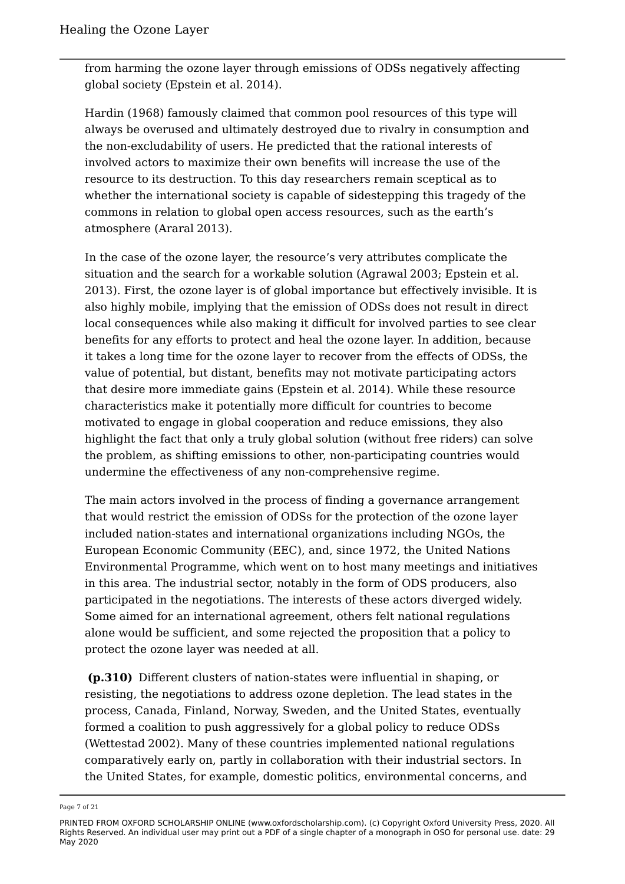from harming the ozone layer through emissions of ODSs negatively affecting global society (Epstein et al. [2014](https://www.oxfordscholarship.com/view/10.1093/oso/9780198843719.001.0001/oso-9780198843719-chapter-16#oso-9780198843719-chapter-16-bibItem-676)).

Hardin [\(1968](https://www.oxfordscholarship.com/view/10.1093/oso/9780198843719.001.0001/oso-9780198843719-chapter-16#oso-9780198843719-chapter-16-bibItem-681)) famously claimed that common pool resources of this type will always be overused and ultimately destroyed due to rivalry in consumption and the non-excludability of users. He predicted that the rational interests of involved actors to maximize their own benefits will increase the use of the resource to its destruction. To this day researchers remain sceptical as to whether the international society is capable of sidestepping this tragedy of the commons in relation to global open access resources, such as the earth's atmosphere (Araral [2013](https://www.oxfordscholarship.com/view/10.1093/oso/9780198843719.001.0001/oso-9780198843719-chapter-16#oso-9780198843719-chapter-16-bibItem-667)).

In the case of the ozone layer, the resource's very attributes complicate the situation and the search for a workable solution (Agrawal [2003](https://www.oxfordscholarship.com/view/10.1093/oso/9780198843719.001.0001/oso-9780198843719-chapter-16#oso-9780198843719-chapter-16-bibItem-665); Epstein et al. [2013\)](https://www.oxfordscholarship.com/view/10.1093/oso/9780198843719.001.0001/oso-9780198843719-chapter-16#oso-9780198843719-chapter-16-bibItem-677). First, the ozone layer is of global importance but effectively invisible. It is also highly mobile, implying that the emission of ODSs does not result in direct local consequences while also making it difficult for involved parties to see clear benefits for any efforts to protect and heal the ozone layer. In addition, because it takes a long time for the ozone layer to recover from the effects of ODSs, the value of potential, but distant, benefits may not motivate participating actors that desire more immediate gains (Epstein et al. [2014\)](https://www.oxfordscholarship.com/view/10.1093/oso/9780198843719.001.0001/oso-9780198843719-chapter-16#oso-9780198843719-chapter-16-bibItem-676). While these resource characteristics make it potentially more difficult for countries to become motivated to engage in global cooperation and reduce emissions, they also highlight the fact that only a truly global solution (without free riders) can solve the problem, as shifting emissions to other, non-participating countries would undermine the effectiveness of any non-comprehensive regime.

The main actors involved in the process of finding a governance arrangement that would restrict the emission of ODSs for the protection of the ozone layer included nation-states and international organizations including NGOs, the European Economic Community (EEC), and, since 1972, the United Nations Environmental Programme, which went on to host many meetings and initiatives in this area. The industrial sector, notably in the form of ODS producers, also participated in the negotiations. The interests of these actors diverged widely. Some aimed for an international agreement, others felt national regulations alone would be sufficient, and some rejected the proposition that a policy to protect the ozone layer was needed at all.

 **(p.310)** Different clusters of nation-states were influential in shaping, or resisting, the negotiations to address ozone depletion. The lead states in the process, Canada, Finland, Norway, Sweden, and the United States, eventually formed a coalition to push aggressively for a global policy to reduce ODSs (Wettestad [2002\)](https://www.oxfordscholarship.com/view/10.1093/oso/9780198843719.001.0001/oso-9780198843719-chapter-16#oso-9780198843719-chapter-16-bibItem-712). Many of these countries implemented national regulations comparatively early on, partly in collaboration with their industrial sectors. In the United States, for example, domestic politics, environmental concerns, and

Page 7 of 21

PRINTED FROM OXFORD SCHOLARSHIP ONLINE (www.oxfordscholarship.com). (c) Copyright Oxford University Press, 2020. All Rights Reserved. An individual user may print out a PDF of a single chapter of a monograph in OSO for personal use. date: 29 May 2020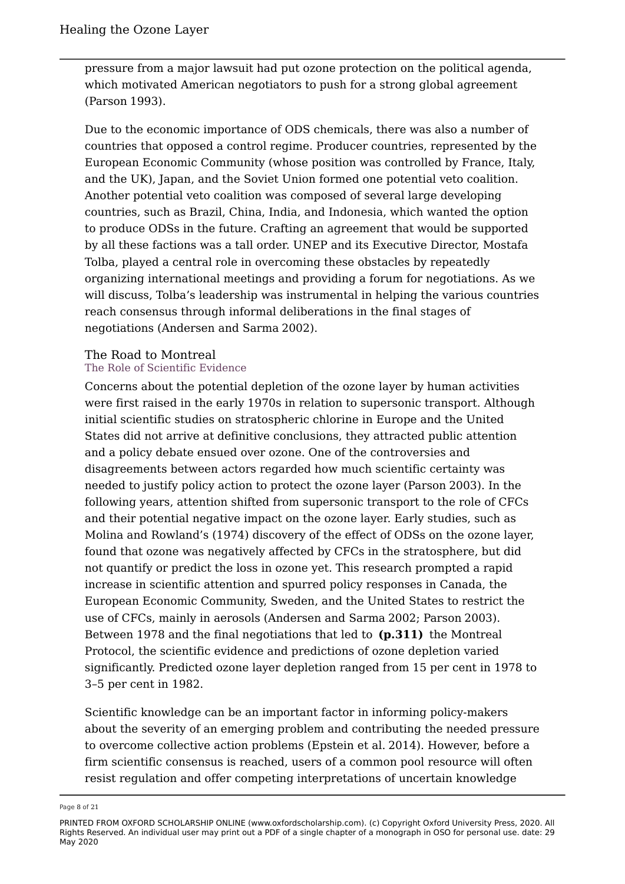pressure from a major lawsuit had put ozone protection on the political agenda, which motivated American negotiators to push for a strong global agreement (Parson [1993\)](https://www.oxfordscholarship.com/view/10.1093/oso/9780198843719.001.0001/oso-9780198843719-chapter-16#oso-9780198843719-chapter-16-bibItem-697).

Due to the economic importance of ODS chemicals, there was also a number of countries that opposed a control regime. Producer countries, represented by the European Economic Community (whose position was controlled by France, Italy, and the UK), Japan, and the Soviet Union formed one potential veto coalition. Another potential veto coalition was composed of several large developing countries, such as Brazil, China, India, and Indonesia, which wanted the option to produce ODSs in the future. Crafting an agreement that would be supported by all these factions was a tall order. UNEP and its Executive Director, Mostafa Tolba, played a central role in overcoming these obstacles by repeatedly organizing international meetings and providing a forum for negotiations. As we will discuss, Tolba's leadership was instrumental in helping the various countries reach consensus through informal deliberations in the final stages of negotiations (Andersen and Sarma [2002](https://www.oxfordscholarship.com/view/10.1093/oso/9780198843719.001.0001/oso-9780198843719-chapter-16#oso-9780198843719-chapter-16-bibItem-666)).

#### The Road to Montreal

#### The Role of Scientific Evidence

Concerns about the potential depletion of the ozone layer by human activities were first raised in the early 1970s in relation to supersonic transport. Although initial scientific studies on stratospheric chlorine in Europe and the United States did not arrive at definitive conclusions, they attracted public attention and a policy debate ensued over ozone. One of the controversies and disagreements between actors regarded how much scientific certainty was needed to justify policy action to protect the ozone layer (Parson [2003\)](https://www.oxfordscholarship.com/view/10.1093/oso/9780198843719.001.0001/oso-9780198843719-chapter-16#oso-9780198843719-chapter-16-bibItem-698). In the following years, attention shifted from supersonic transport to the role of CFCs and their potential negative impact on the ozone layer. Early studies, such as Molina and Rowland's ([1974](https://www.oxfordscholarship.com/view/10.1093/oso/9780198843719.001.0001/oso-9780198843719-chapter-16#oso-9780198843719-chapter-16-bibItem-687)) discovery of the effect of ODSs on the ozone layer, found that ozone was negatively affected by CFCs in the stratosphere, but did not quantify or predict the loss in ozone yet. This research prompted a rapid increase in scientific attention and spurred policy responses in Canada, the European Economic Community, Sweden, and the United States to restrict the use of CFCs, mainly in aerosols (Andersen and Sarma [2002;](https://www.oxfordscholarship.com/view/10.1093/oso/9780198843719.001.0001/oso-9780198843719-chapter-16#oso-9780198843719-chapter-16-bibItem-666) Parson [2003](https://www.oxfordscholarship.com/view/10.1093/oso/9780198843719.001.0001/oso-9780198843719-chapter-16#oso-9780198843719-chapter-16-bibItem-698)). Between 1978 and the final negotiations that led to **(p.311)** the Montreal Protocol, the scientific evidence and predictions of ozone depletion varied significantly. Predicted ozone layer depletion ranged from 15 per cent in 1978 to 3–5 per cent in 1982.

Scientific knowledge can be an important factor in informing policy-makers about the severity of an emerging problem and contributing the needed pressure to overcome collective action problems (Epstein et al. [2014\)](https://www.oxfordscholarship.com/view/10.1093/oso/9780198843719.001.0001/oso-9780198843719-chapter-16#oso-9780198843719-chapter-16-bibItem-676). However, before a firm scientific consensus is reached, users of a common pool resource will often resist regulation and offer competing interpretations of uncertain knowledge

#### Page 8 of 21

PRINTED FROM OXFORD SCHOLARSHIP ONLINE (www.oxfordscholarship.com). (c) Copyright Oxford University Press, 2020. All Rights Reserved. An individual user may print out a PDF of a single chapter of a monograph in OSO for personal use. date: 29 May 2020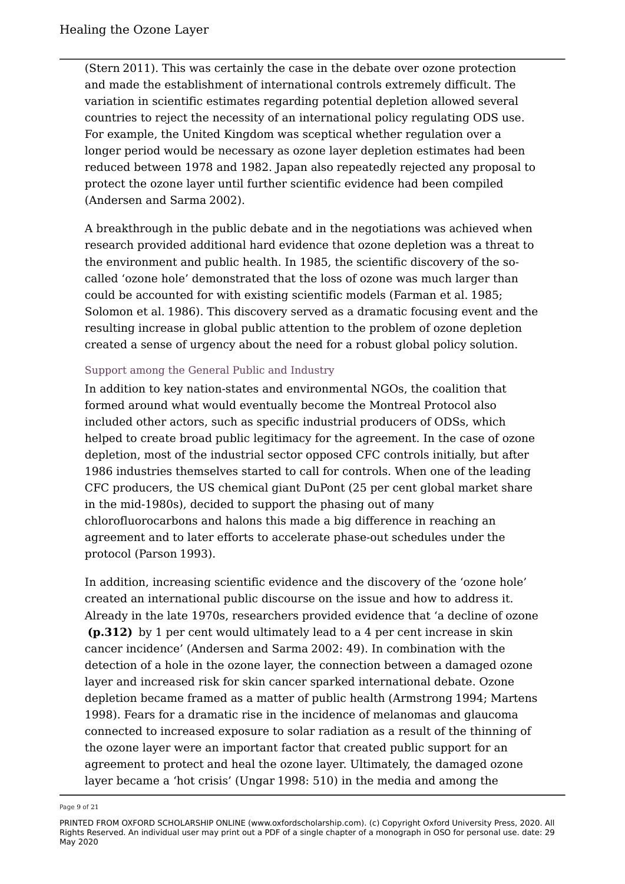(Stern [2011\)](https://www.oxfordscholarship.com/view/10.1093/oso/9780198843719.001.0001/oso-9780198843719-chapter-16#oso-9780198843719-chapter-16-bibItem-704). This was certainly the case in the debate over ozone protection and made the establishment of international controls extremely difficult. The variation in scientific estimates regarding potential depletion allowed several countries to reject the necessity of an international policy regulating ODS use. For example, the United Kingdom was sceptical whether regulation over a longer period would be necessary as ozone layer depletion estimates had been reduced between 1978 and 1982. Japan also repeatedly rejected any proposal to protect the ozone layer until further scientific evidence had been compiled (Andersen and Sarma [2002](https://www.oxfordscholarship.com/view/10.1093/oso/9780198843719.001.0001/oso-9780198843719-chapter-16#oso-9780198843719-chapter-16-bibItem-666)).

A breakthrough in the public debate and in the negotiations was achieved when research provided additional hard evidence that ozone depletion was a threat to the environment and public health. In 1985, the scientific discovery of the socalled 'ozone hole' demonstrated that the loss of ozone was much larger than could be accounted for with existing scientific models (Farman et al. [1985](https://www.oxfordscholarship.com/view/10.1093/oso/9780198843719.001.0001/oso-9780198843719-chapter-16#oso-9780198843719-chapter-16-bibItem-679); Solomon et al. [1986](https://www.oxfordscholarship.com/view/10.1093/oso/9780198843719.001.0001/oso-9780198843719-chapter-16#oso-9780198843719-chapter-16-bibItem-703)). This discovery served as a dramatic focusing event and the resulting increase in global public attention to the problem of ozone depletion created a sense of urgency about the need for a robust global policy solution.

### Support among the General Public and Industry

In addition to key nation-states and environmental NGOs, the coalition that formed around what would eventually become the Montreal Protocol also included other actors, such as specific industrial producers of ODSs, which helped to create broad public legitimacy for the agreement. In the case of ozone depletion, most of the industrial sector opposed CFC controls initially, but after 1986 industries themselves started to call for controls. When one of the leading CFC producers, the US chemical giant DuPont (25 per cent global market share in the mid-1980s), decided to support the phasing out of many chlorofluorocarbons and halons this made a big difference in reaching an agreement and to later efforts to accelerate phase-out schedules under the protocol (Parson [1993](https://www.oxfordscholarship.com/view/10.1093/oso/9780198843719.001.0001/oso-9780198843719-chapter-16#oso-9780198843719-chapter-16-bibItem-697)).

In addition, increasing scientific evidence and the discovery of the 'ozone hole' created an international public discourse on the issue and how to address it. Already in the late 1970s, researchers provided evidence that 'a decline of ozone **(p.312)** by 1 per cent would ultimately lead to a 4 per cent increase in skin cancer incidence' (Andersen and Sarma [2002](https://www.oxfordscholarship.com/view/10.1093/oso/9780198843719.001.0001/oso-9780198843719-chapter-16#oso-9780198843719-chapter-16-bibItem-666): 49). In combination with the detection of a hole in the ozone layer, the connection between a damaged ozone layer and increased risk for skin cancer sparked international debate. Ozone depletion became framed as a matter of public health (Armstrong [1994;](https://www.oxfordscholarship.com/view/10.1093/oso/9780198843719.001.0001/oso-9780198843719-chapter-16#oso-9780198843719-chapter-16-bibItem-668) Martens [1998\)](https://www.oxfordscholarship.com/view/10.1093/oso/9780198843719.001.0001/oso-9780198843719-chapter-16#oso-9780198843719-chapter-16-bibItem-684). Fears for a dramatic rise in the incidence of melanomas and glaucoma connected to increased exposure to solar radiation as a result of the thinning of the ozone layer were an important factor that created public support for an agreement to protect and heal the ozone layer. Ultimately, the damaged ozone layer became a 'hot crisis' (Ungar [1998](https://www.oxfordscholarship.com/view/10.1093/oso/9780198843719.001.0001/oso-9780198843719-chapter-16#oso-9780198843719-chapter-16-bibItem-708): 510) in the media and among the

Page 9 of 21

PRINTED FROM OXFORD SCHOLARSHIP ONLINE (www.oxfordscholarship.com). (c) Copyright Oxford University Press, 2020. All Rights Reserved. An individual user may print out a PDF of a single chapter of a monograph in OSO for personal use. date: 29 May 2020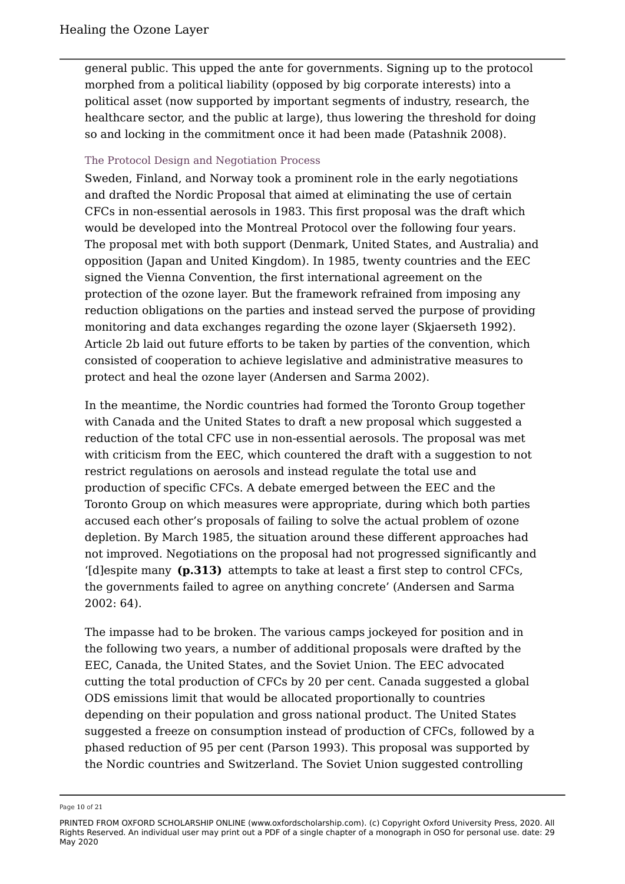general public. This upped the ante for governments. Signing up to the protocol morphed from a political liability (opposed by big corporate interests) into a political asset (now supported by important segments of industry, research, the healthcare sector, and the public at large), thus lowering the threshold for doing so and locking in the commitment once it had been made (Patashnik 2008).

### The Protocol Design and Negotiation Process

Sweden, Finland, and Norway took a prominent role in the early negotiations and drafted the Nordic Proposal that aimed at eliminating the use of certain CFCs in non-essential aerosols in 1983. This first proposal was the draft which would be developed into the Montreal Protocol over the following four years. The proposal met with both support (Denmark, United States, and Australia) and opposition (Japan and United Kingdom). In 1985, twenty countries and the EEC signed the Vienna Convention, the first international agreement on the protection of the ozone layer. But the framework refrained from imposing any reduction obligations on the parties and instead served the purpose of providing monitoring and data exchanges regarding the ozone layer (Skjaerseth 1992). Article 2b laid out future efforts to be taken by parties of the convention, which consisted of cooperation to achieve legislative and administrative measures to protect and heal the ozone layer (Andersen and Sarma [2002\)](https://www.oxfordscholarship.com/view/10.1093/oso/9780198843719.001.0001/oso-9780198843719-chapter-16#oso-9780198843719-chapter-16-bibItem-666).

In the meantime, the Nordic countries had formed the Toronto Group together with Canada and the United States to draft a new proposal which suggested a reduction of the total CFC use in non-essential aerosols. The proposal was met with criticism from the EEC, which countered the draft with a suggestion to not restrict regulations on aerosols and instead regulate the total use and production of specific CFCs. A debate emerged between the EEC and the Toronto Group on which measures were appropriate, during which both parties accused each other's proposals of failing to solve the actual problem of ozone depletion. By March 1985, the situation around these different approaches had not improved. Negotiations on the proposal had not progressed significantly and '[d]espite many **(p.313)** attempts to take at least a first step to control CFCs, the governments failed to agree on anything concrete' (Andersen and Sarma [2002:](https://www.oxfordscholarship.com/view/10.1093/oso/9780198843719.001.0001/oso-9780198843719-chapter-16#oso-9780198843719-chapter-16-bibItem-666) 64).

The impasse had to be broken. The various camps jockeyed for position and in the following two years, a number of additional proposals were drafted by the EEC, Canada, the United States, and the Soviet Union. The EEC advocated cutting the total production of CFCs by 20 per cent. Canada suggested a global ODS emissions limit that would be allocated proportionally to countries depending on their population and gross national product. The United States suggested a freeze on consumption instead of production of CFCs, followed by a phased reduction of 95 per cent (Parson [1993](https://www.oxfordscholarship.com/view/10.1093/oso/9780198843719.001.0001/oso-9780198843719-chapter-16#oso-9780198843719-chapter-16-bibItem-697)). This proposal was supported by the Nordic countries and Switzerland. The Soviet Union suggested controlling

Page 10 of 21

PRINTED FROM OXFORD SCHOLARSHIP ONLINE (www.oxfordscholarship.com). (c) Copyright Oxford University Press, 2020. All Rights Reserved. An individual user may print out a PDF of a single chapter of a monograph in OSO for personal use. date: 29 May 2020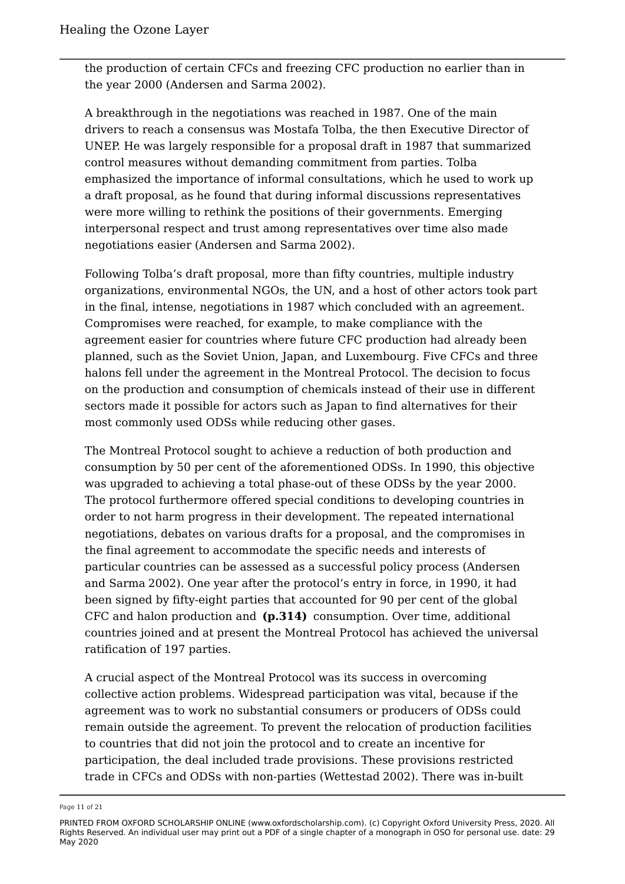the production of certain CFCs and freezing CFC production no earlier than in the year 2000 (Andersen and Sarma [2002](https://www.oxfordscholarship.com/view/10.1093/oso/9780198843719.001.0001/oso-9780198843719-chapter-16#oso-9780198843719-chapter-16-bibItem-666)).

A breakthrough in the negotiations was reached in 1987. One of the main drivers to reach a consensus was Mostafa Tolba, the then Executive Director of UNEP. He was largely responsible for a proposal draft in 1987 that summarized control measures without demanding commitment from parties. Tolba emphasized the importance of informal consultations, which he used to work up a draft proposal, as he found that during informal discussions representatives were more willing to rethink the positions of their governments. Emerging interpersonal respect and trust among representatives over time also made negotiations easier (Andersen and Sarma [2002\)](https://www.oxfordscholarship.com/view/10.1093/oso/9780198843719.001.0001/oso-9780198843719-chapter-16#oso-9780198843719-chapter-16-bibItem-666).

Following Tolba's draft proposal, more than fifty countries, multiple industry organizations, environmental NGOs, the UN, and a host of other actors took part in the final, intense, negotiations in 1987 which concluded with an agreement. Compromises were reached, for example, to make compliance with the agreement easier for countries where future CFC production had already been planned, such as the Soviet Union, Japan, and Luxembourg. Five CFCs and three halons fell under the agreement in the Montreal Protocol. The decision to focus on the production and consumption of chemicals instead of their use in different sectors made it possible for actors such as Japan to find alternatives for their most commonly used ODSs while reducing other gases.

The Montreal Protocol sought to achieve a reduction of both production and consumption by 50 per cent of the aforementioned ODSs. In 1990, this objective was upgraded to achieving a total phase-out of these ODSs by the year 2000. The protocol furthermore offered special conditions to developing countries in order to not harm progress in their development. The repeated international negotiations, debates on various drafts for a proposal, and the compromises in the final agreement to accommodate the specific needs and interests of particular countries can be assessed as a successful policy process (Andersen and Sarma [2002](https://www.oxfordscholarship.com/view/10.1093/oso/9780198843719.001.0001/oso-9780198843719-chapter-16#oso-9780198843719-chapter-16-bibItem-666)). One year after the protocol's entry in force, in 1990, it had been signed by fifty-eight parties that accounted for 90 per cent of the global CFC and halon production and **(p.314)** consumption. Over time, additional countries joined and at present the Montreal Protocol has achieved the universal ratification of 197 parties.

A crucial aspect of the Montreal Protocol was its success in overcoming collective action problems. Widespread participation was vital, because if the agreement was to work no substantial consumers or producers of ODSs could remain outside the agreement. To prevent the relocation of production facilities to countries that did not join the protocol and to create an incentive for participation, the deal included trade provisions. These provisions restricted trade in CFCs and ODSs with non-parties (Wettestad [2002](https://www.oxfordscholarship.com/view/10.1093/oso/9780198843719.001.0001/oso-9780198843719-chapter-16#oso-9780198843719-chapter-16-bibItem-712)). There was in-built

Page 11 of 21

PRINTED FROM OXFORD SCHOLARSHIP ONLINE (www.oxfordscholarship.com). (c) Copyright Oxford University Press, 2020. All Rights Reserved. An individual user may print out a PDF of a single chapter of a monograph in OSO for personal use. date: 29 May 2020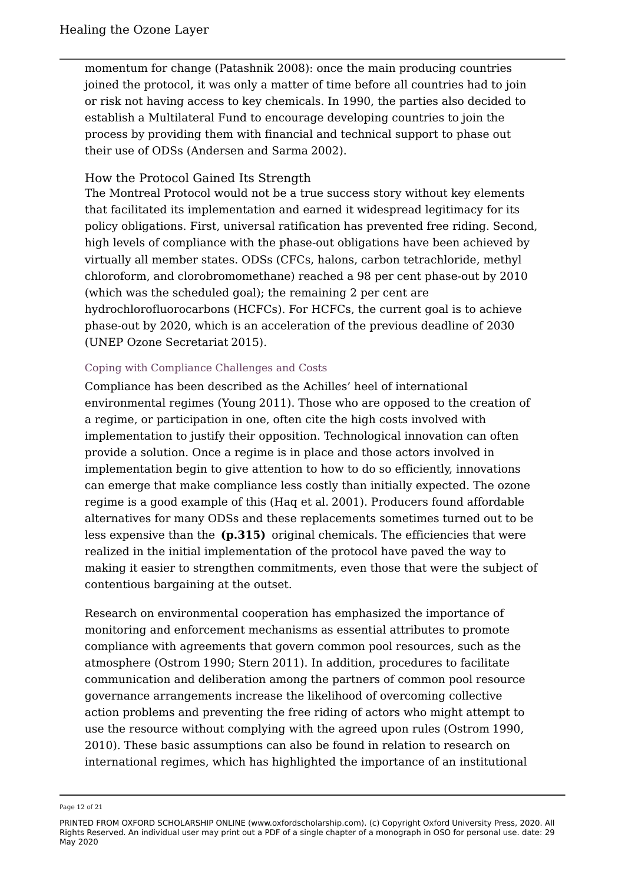momentum for change (Patashnik 2008): once the main producing countries joined the protocol, it was only a matter of time before all countries had to join or risk not having access to key chemicals. In 1990, the parties also decided to establish a Multilateral Fund to encourage developing countries to join the process by providing them with financial and technical support to phase out their use of ODSs (Andersen and Sarma [2002](https://www.oxfordscholarship.com/view/10.1093/oso/9780198843719.001.0001/oso-9780198843719-chapter-16#oso-9780198843719-chapter-16-bibItem-666)).

# How the Protocol Gained Its Strength

The Montreal Protocol would not be a true success story without key elements that facilitated its implementation and earned it widespread legitimacy for its policy obligations. First, universal ratification has prevented free riding. Second, high levels of compliance with the phase-out obligations have been achieved by virtually all member states. ODSs (CFCs, halons, carbon tetrachloride, methyl chloroform, and clorobromomethane) reached a 98 per cent phase-out by 2010 (which was the scheduled goal); the remaining 2 per cent are hydrochlorofluorocarbons (HCFCs). For HCFCs, the current goal is to achieve phase-out by 2020, which is an acceleration of the previous deadline of 2030 (UNEP Ozone Secretariat [2015\)](https://www.oxfordscholarship.com/view/10.1093/oso/9780198843719.001.0001/oso-9780198843719-chapter-16#oso-9780198843719-chapter-16-bibItem-706).

### Coping with Compliance Challenges and Costs

Compliance has been described as the Achilles' heel of international environmental regimes (Young [2011\)](https://www.oxfordscholarship.com/view/10.1093/oso/9780198843719.001.0001/oso-9780198843719-chapter-16#oso-9780198843719-chapter-16-bibItem-716). Those who are opposed to the creation of a regime, or participation in one, often cite the high costs involved with implementation to justify their opposition. Technological innovation can often provide a solution. Once a regime is in place and those actors involved in implementation begin to give attention to how to do so efficiently, innovations can emerge that make compliance less costly than initially expected. The ozone regime is a good example of this (Haq et al. [2001\)](https://www.oxfordscholarship.com/view/10.1093/oso/9780198843719.001.0001/oso-9780198843719-chapter-16#oso-9780198843719-chapter-16-bibItem-680). Producers found affordable alternatives for many ODSs and these replacements sometimes turned out to be less expensive than the **(p.315)** original chemicals. The efficiencies that were realized in the initial implementation of the protocol have paved the way to making it easier to strengthen commitments, even those that were the subject of contentious bargaining at the outset.

Research on environmental cooperation has emphasized the importance of monitoring and enforcement mechanisms as essential attributes to promote compliance with agreements that govern common pool resources, such as the atmosphere (Ostrom [1990](https://www.oxfordscholarship.com/view/10.1093/oso/9780198843719.001.0001/oso-9780198843719-chapter-16#oso-9780198843719-chapter-16-bibItem-690); Stern [2011\)](https://www.oxfordscholarship.com/view/10.1093/oso/9780198843719.001.0001/oso-9780198843719-chapter-16#oso-9780198843719-chapter-16-bibItem-704). In addition, procedures to facilitate communication and deliberation among the partners of common pool resource governance arrangements increase the likelihood of overcoming collective action problems and preventing the free riding of actors who might attempt to use the resource without complying with the agreed upon rules (Ostrom [1990,](https://www.oxfordscholarship.com/view/10.1093/oso/9780198843719.001.0001/oso-9780198843719-chapter-16#oso-9780198843719-chapter-16-bibItem-690) [2010\)](https://www.oxfordscholarship.com/view/10.1093/oso/9780198843719.001.0001/oso-9780198843719-chapter-16#oso-9780198843719-chapter-16-bibItem-691). These basic assumptions can also be found in relation to research on international regimes, which has highlighted the importance of an institutional

Page 12 of 21

PRINTED FROM OXFORD SCHOLARSHIP ONLINE (www.oxfordscholarship.com). (c) Copyright Oxford University Press, 2020. All Rights Reserved. An individual user may print out a PDF of a single chapter of a monograph in OSO for personal use. date: 29 May 2020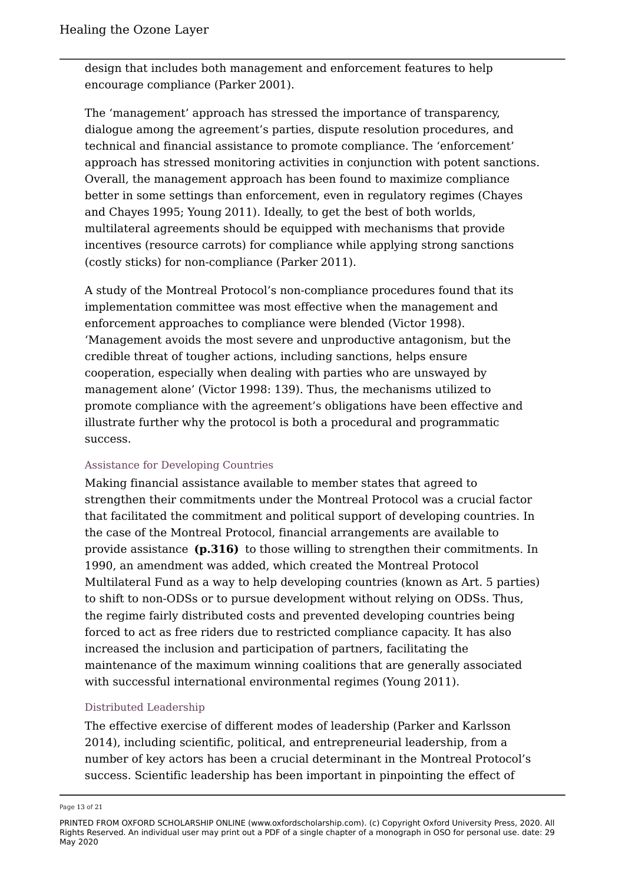design that includes both management and enforcement features to help encourage compliance (Parker [2001](https://www.oxfordscholarship.com/view/10.1093/oso/9780198843719.001.0001/oso-9780198843719-chapter-16#oso-9780198843719-chapter-16-bibItem-692)).

The 'management' approach has stressed the importance of transparency, dialogue among the agreement's parties, dispute resolution procedures, and technical and financial assistance to promote compliance. The 'enforcement' approach has stressed monitoring activities in conjunction with potent sanctions. Overall, the management approach has been found to maximize compliance better in some settings than enforcement, even in regulatory regimes (Chayes and Chayes [1995;](https://www.oxfordscholarship.com/view/10.1093/oso/9780198843719.001.0001/oso-9780198843719-chapter-16#oso-9780198843719-chapter-16-bibItem-674) Young [2011\)](https://www.oxfordscholarship.com/view/10.1093/oso/9780198843719.001.0001/oso-9780198843719-chapter-16#oso-9780198843719-chapter-16-bibItem-716). Ideally, to get the best of both worlds, multilateral agreements should be equipped with mechanisms that provide incentives (resource carrots) for compliance while applying strong sanctions (costly sticks) for non-compliance (Parker [2011](https://www.oxfordscholarship.com/view/10.1093/oso/9780198843719.001.0001/oso-9780198843719-chapter-16#oso-9780198843719-chapter-16-bibItem-693)).

A study of the Montreal Protocol's non-compliance procedures found that its implementation committee was most effective when the management and enforcement approaches to compliance were blended (Victor [1998\)](https://www.oxfordscholarship.com/view/10.1093/oso/9780198843719.001.0001/oso-9780198843719-chapter-16#oso-9780198843719-chapter-16-bibItem-711). 'Management avoids the most severe and unproductive antagonism, but the credible threat of tougher actions, including sanctions, helps ensure cooperation, especially when dealing with parties who are unswayed by management alone' (Victor [1998:](https://www.oxfordscholarship.com/view/10.1093/oso/9780198843719.001.0001/oso-9780198843719-chapter-16#oso-9780198843719-chapter-16-bibItem-711) 139). Thus, the mechanisms utilized to promote compliance with the agreement's obligations have been effective and illustrate further why the protocol is both a procedural and programmatic success.

#### Assistance for Developing Countries

Making financial assistance available to member states that agreed to strengthen their commitments under the Montreal Protocol was a crucial factor that facilitated the commitment and political support of developing countries. In the case of the Montreal Protocol, financial arrangements are available to provide assistance **(p.316)** to those willing to strengthen their commitments. In 1990, an amendment was added, which created the Montreal Protocol Multilateral Fund as a way to help developing countries (known as Art. 5 parties) to shift to non-ODSs or to pursue development without relying on ODSs. Thus, the regime fairly distributed costs and prevented developing countries being forced to act as free riders due to restricted compliance capacity. It has also increased the inclusion and participation of partners, facilitating the maintenance of the maximum winning coalitions that are generally associated with successful international environmental regimes (Young [2011](https://www.oxfordscholarship.com/view/10.1093/oso/9780198843719.001.0001/oso-9780198843719-chapter-16#oso-9780198843719-chapter-16-bibItem-716)).

#### Distributed Leadership

The effective exercise of different modes of leadership (Parker and Karlsson [2014\)](https://www.oxfordscholarship.com/view/10.1093/oso/9780198843719.001.0001/oso-9780198843719-chapter-16#oso-9780198843719-chapter-16-bibItem-695), including scientific, political, and entrepreneurial leadership, from a number of key actors has been a crucial determinant in the Montreal Protocol's success. Scientific leadership has been important in pinpointing the effect of

Page 13 of 21

PRINTED FROM OXFORD SCHOLARSHIP ONLINE (www.oxfordscholarship.com). (c) Copyright Oxford University Press, 2020. All Rights Reserved. An individual user may print out a PDF of a single chapter of a monograph in OSO for personal use. date: 29 May 2020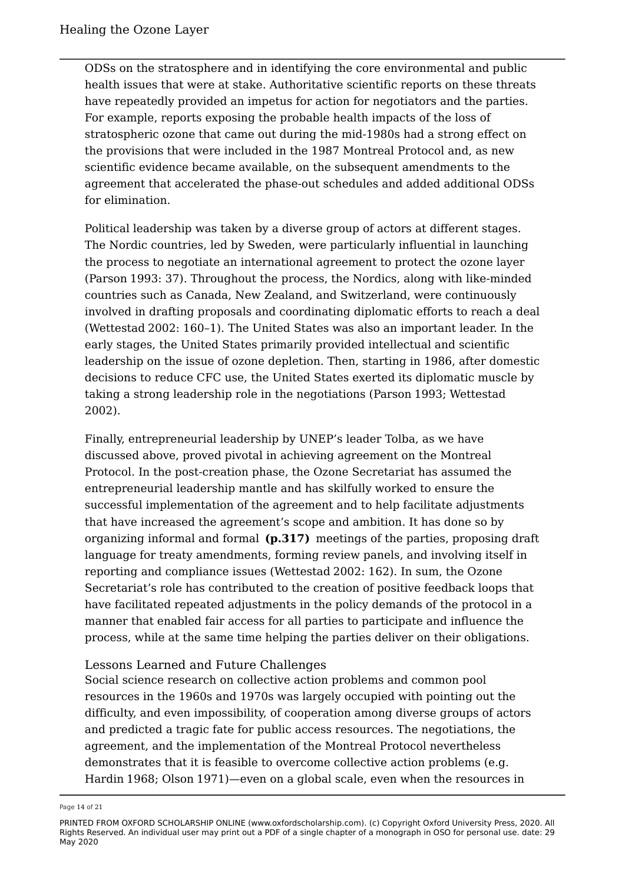ODSs on the stratosphere and in identifying the core environmental and public health issues that were at stake. Authoritative scientific reports on these threats have repeatedly provided an impetus for action for negotiators and the parties. For example, reports exposing the probable health impacts of the loss of stratospheric ozone that came out during the mid-1980s had a strong effect on the provisions that were included in the 1987 Montreal Protocol and, as new scientific evidence became available, on the subsequent amendments to the agreement that accelerated the phase-out schedules and added additional ODSs for elimination.

Political leadership was taken by a diverse group of actors at different stages. The Nordic countries, led by Sweden, were particularly influential in launching the process to negotiate an international agreement to protect the ozone layer (Parson [1993:](https://www.oxfordscholarship.com/view/10.1093/oso/9780198843719.001.0001/oso-9780198843719-chapter-16#oso-9780198843719-chapter-16-bibItem-697) 37). Throughout the process, the Nordics, along with like-minded countries such as Canada, New Zealand, and Switzerland, were continuously involved in drafting proposals and coordinating diplomatic efforts to reach a deal (Wettestad [2002](https://www.oxfordscholarship.com/view/10.1093/oso/9780198843719.001.0001/oso-9780198843719-chapter-16#oso-9780198843719-chapter-16-bibItem-712): 160–1). The United States was also an important leader. In the early stages, the United States primarily provided intellectual and scientific leadership on the issue of ozone depletion. Then, starting in 1986, after domestic decisions to reduce CFC use, the United States exerted its diplomatic muscle by taking a strong leadership role in the negotiations (Parson [1993;](https://www.oxfordscholarship.com/view/10.1093/oso/9780198843719.001.0001/oso-9780198843719-chapter-16#oso-9780198843719-chapter-16-bibItem-697) Wettestad [2002\)](https://www.oxfordscholarship.com/view/10.1093/oso/9780198843719.001.0001/oso-9780198843719-chapter-16#oso-9780198843719-chapter-16-bibItem-712).

Finally, entrepreneurial leadership by UNEP's leader Tolba, as we have discussed above, proved pivotal in achieving agreement on the Montreal Protocol. In the post-creation phase, the Ozone Secretariat has assumed the entrepreneurial leadership mantle and has skilfully worked to ensure the successful implementation of the agreement and to help facilitate adjustments that have increased the agreement's scope and ambition. It has done so by organizing informal and formal **(p.317)** meetings of the parties, proposing draft language for treaty amendments, forming review panels, and involving itself in reporting and compliance issues (Wettestad [2002](https://www.oxfordscholarship.com/view/10.1093/oso/9780198843719.001.0001/oso-9780198843719-chapter-16#oso-9780198843719-chapter-16-bibItem-712): 162). In sum, the Ozone Secretariat's role has contributed to the creation of positive feedback loops that have facilitated repeated adjustments in the policy demands of the protocol in a manner that enabled fair access for all parties to participate and influence the process, while at the same time helping the parties deliver on their obligations.

# Lessons Learned and Future Challenges

Social science research on collective action problems and common pool resources in the 1960s and 1970s was largely occupied with pointing out the difficulty, and even impossibility, of cooperation among diverse groups of actors and predicted a tragic fate for public access resources. The negotiations, the agreement, and the implementation of the Montreal Protocol nevertheless demonstrates that it is feasible to overcome collective action problems (e.g. Hardin [1968;](https://www.oxfordscholarship.com/view/10.1093/oso/9780198843719.001.0001/oso-9780198843719-chapter-16#oso-9780198843719-chapter-16-bibItem-681) Olson [1971](https://www.oxfordscholarship.com/view/10.1093/oso/9780198843719.001.0001/oso-9780198843719-chapter-16#oso-9780198843719-chapter-16-bibItem-689))—even on a global scale, even when the resources in

Page 14 of 21

PRINTED FROM OXFORD SCHOLARSHIP ONLINE (www.oxfordscholarship.com). (c) Copyright Oxford University Press, 2020. All Rights Reserved. An individual user may print out a PDF of a single chapter of a monograph in OSO for personal use. date: 29 May 2020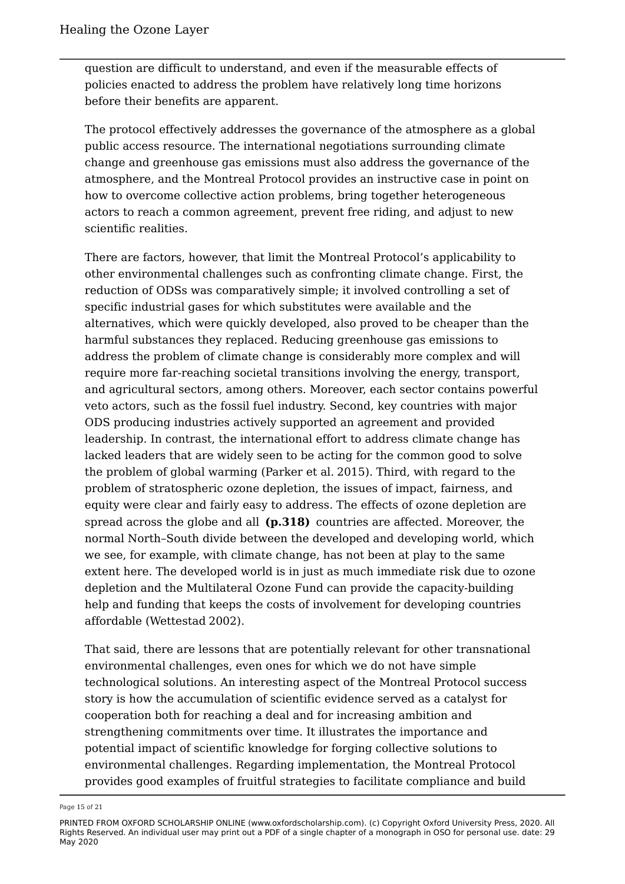question are difficult to understand, and even if the measurable effects of policies enacted to address the problem have relatively long time horizons before their benefits are apparent.

The protocol effectively addresses the governance of the atmosphere as a global public access resource. The international negotiations surrounding climate change and greenhouse gas emissions must also address the governance of the atmosphere, and the Montreal Protocol provides an instructive case in point on how to overcome collective action problems, bring together heterogeneous actors to reach a common agreement, prevent free riding, and adjust to new scientific realities.

There are factors, however, that limit the Montreal Protocol's applicability to other environmental challenges such as confronting climate change. First, the reduction of ODSs was comparatively simple; it involved controlling a set of specific industrial gases for which substitutes were available and the alternatives, which were quickly developed, also proved to be cheaper than the harmful substances they replaced. Reducing greenhouse gas emissions to address the problem of climate change is considerably more complex and will require more far-reaching societal transitions involving the energy, transport, and agricultural sectors, among others. Moreover, each sector contains powerful veto actors, such as the fossil fuel industry. Second, key countries with major ODS producing industries actively supported an agreement and provided leadership. In contrast, the international effort to address climate change has lacked leaders that are widely seen to be acting for the common good to solve the problem of global warming (Parker et al. [2015\)](https://www.oxfordscholarship.com/view/10.1093/oso/9780198843719.001.0001/oso-9780198843719-chapter-16#oso-9780198843719-chapter-16-bibItem-696). Third, with regard to the problem of stratospheric ozone depletion, the issues of impact, fairness, and equity were clear and fairly easy to address. The effects of ozone depletion are spread across the globe and all **(p.318)** countries are affected. Moreover, the normal North–South divide between the developed and developing world, which we see, for example, with climate change, has not been at play to the same extent here. The developed world is in just as much immediate risk due to ozone depletion and the Multilateral Ozone Fund can provide the capacity-building help and funding that keeps the costs of involvement for developing countries affordable (Wettestad [2002\)](https://www.oxfordscholarship.com/view/10.1093/oso/9780198843719.001.0001/oso-9780198843719-chapter-16#oso-9780198843719-chapter-16-bibItem-712).

That said, there are lessons that are potentially relevant for other transnational environmental challenges, even ones for which we do not have simple technological solutions. An interesting aspect of the Montreal Protocol success story is how the accumulation of scientific evidence served as a catalyst for cooperation both for reaching a deal and for increasing ambition and strengthening commitments over time. It illustrates the importance and potential impact of scientific knowledge for forging collective solutions to environmental challenges. Regarding implementation, the Montreal Protocol provides good examples of fruitful strategies to facilitate compliance and build

Page 15 of 21

PRINTED FROM OXFORD SCHOLARSHIP ONLINE (www.oxfordscholarship.com). (c) Copyright Oxford University Press, 2020. All Rights Reserved. An individual user may print out a PDF of a single chapter of a monograph in OSO for personal use. date: 29 May 2020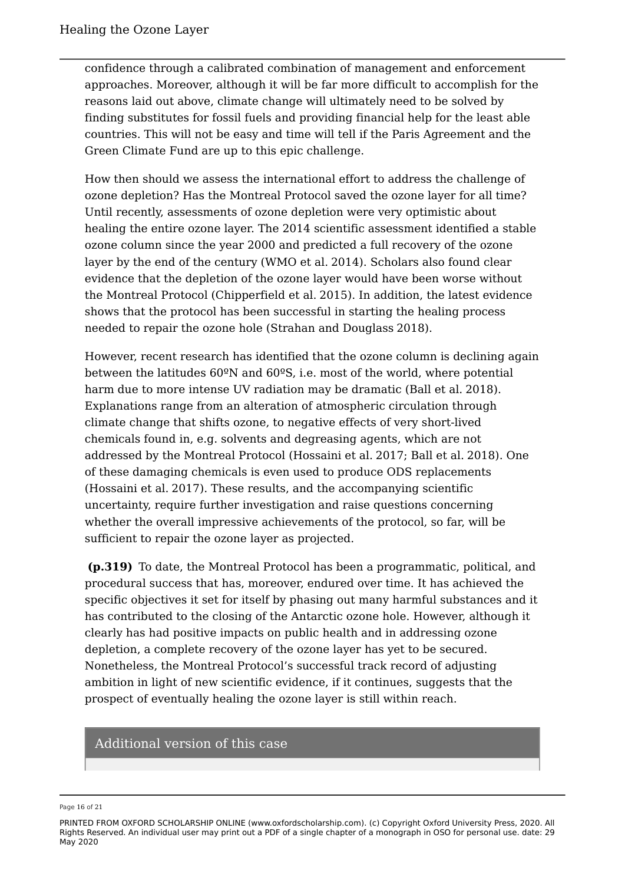confidence through a calibrated combination of management and enforcement approaches. Moreover, although it will be far more difficult to accomplish for the reasons laid out above, climate change will ultimately need to be solved by finding substitutes for fossil fuels and providing financial help for the least able countries. This will not be easy and time will tell if the Paris Agreement and the Green Climate Fund are up to this epic challenge.

How then should we assess the international effort to address the challenge of ozone depletion? Has the Montreal Protocol saved the ozone layer for all time? Until recently, assessments of ozone depletion were very optimistic about healing the entire ozone layer. The 2014 scientific assessment identified a stable ozone column since the year 2000 and predicted a full recovery of the ozone layer by the end of the century (WMO et al. [2014](https://www.oxfordscholarship.com/view/10.1093/oso/9780198843719.001.0001/oso-9780198843719-chapter-16#oso-9780198843719-chapter-16-bibItem-713)). Scholars also found clear evidence that the depletion of the ozone layer would have been worse without the Montreal Protocol (Chipperfield et al. [2015](https://www.oxfordscholarship.com/view/10.1093/oso/9780198843719.001.0001/oso-9780198843719-chapter-16#oso-9780198843719-chapter-16-bibItem-675)). In addition, the latest evidence shows that the protocol has been successful in starting the healing process needed to repair the ozone hole (Strahan and Douglass [2018\)](https://www.oxfordscholarship.com/view/10.1093/oso/9780198843719.001.0001/oso-9780198843719-chapter-16#oso-9780198843719-chapter-16-bibItem-705).

However, recent research has identified that the ozone column is declining again between the latitudes 60ºN and 60ºS, i.e. most of the world, where potential harm due to more intense UV radiation may be dramatic (Ball et al. [2018](https://www.oxfordscholarship.com/view/10.1093/oso/9780198843719.001.0001/oso-9780198843719-chapter-16#oso-9780198843719-chapter-16-bibItem-669)). Explanations range from an alteration of atmospheric circulation through climate change that shifts ozone, to negative effects of very short-lived chemicals found in, e.g. solvents and degreasing agents, which are not addressed by the Montreal Protocol (Hossaini et al. [2017;](https://www.oxfordscholarship.com/view/10.1093/oso/9780198843719.001.0001/oso-9780198843719-chapter-16#oso-9780198843719-chapter-16-bibItem-682) Ball et al. [2018\)](https://www.oxfordscholarship.com/view/10.1093/oso/9780198843719.001.0001/oso-9780198843719-chapter-16#oso-9780198843719-chapter-16-bibItem-669). One of these damaging chemicals is even used to produce ODS replacements (Hossaini et al. [2017](https://www.oxfordscholarship.com/view/10.1093/oso/9780198843719.001.0001/oso-9780198843719-chapter-16#oso-9780198843719-chapter-16-bibItem-682)). These results, and the accompanying scientific uncertainty, require further investigation and raise questions concerning whether the overall impressive achievements of the protocol, so far, will be sufficient to repair the ozone layer as projected.

 **(p.319)** To date, the Montreal Protocol has been a programmatic, political, and procedural success that has, moreover, endured over time. It has achieved the specific objectives it set for itself by phasing out many harmful substances and it has contributed to the closing of the Antarctic ozone hole. However, although it clearly has had positive impacts on public health and in addressing ozone depletion, a complete recovery of the ozone layer has yet to be secured. Nonetheless, the Montreal Protocol's successful track record of adjusting ambition in light of new scientific evidence, if it continues, suggests that the prospect of eventually healing the ozone layer is still within reach.

# Additional version of this case

Page 16 of 21

PRINTED FROM OXFORD SCHOLARSHIP ONLINE (www.oxfordscholarship.com). (c) Copyright Oxford University Press, 2020. All Rights Reserved. An individual user may print out a PDF of a single chapter of a monograph in OSO for personal use. date: 29 May 2020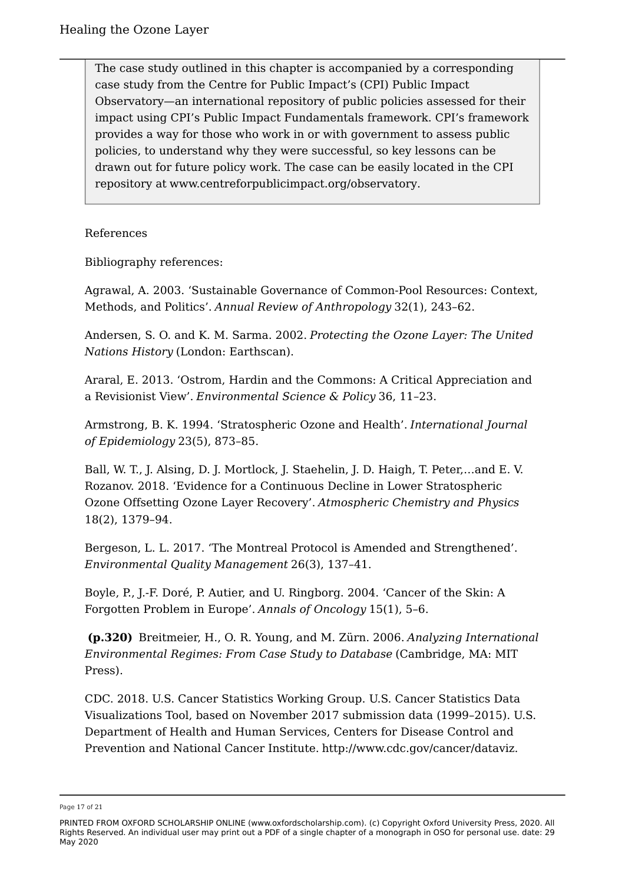The case study outlined in this chapter is accompanied by a corresponding case study from the Centre for Public Impact's (CPI) Public Impact Observatory—an international repository of public policies assessed for their impact using CPI's Public Impact Fundamentals framework. CPI's framework provides a way for those who work in or with government to assess public policies, to understand why they were successful, so key lessons can be drawn out for future policy work. The case can be easily located in the CPI repository at [www.centreforpublicimpact.org/observatory](http://www.centreforpublicimpact.org/observatory).

References

Bibliography references:

Agrawal, A. 2003. 'Sustainable Governance of Common-Pool Resources: Context, Methods, and Politics'. *Annual Review of Anthropology* 32(1), 243–62.

Andersen, S. O. and K. M. Sarma. 2002. *Protecting the Ozone Layer: The United Nations History* (London: Earthscan).

Araral, E. 2013. 'Ostrom, Hardin and the Commons: A Critical Appreciation and a Revisionist View'. *Environmental Science & Policy* 36, 11–23.

Armstrong, B. K. 1994. 'Stratospheric Ozone and Health'. *International Journal of Epidemiology* 23(5), 873–85.

Ball, W. T., J. Alsing, D. J. Mortlock, J. Staehelin, J. D. Haigh, T. Peter,…and E. V. Rozanov. 2018. 'Evidence for a Continuous Decline in Lower Stratospheric Ozone Offsetting Ozone Layer Recovery'. *Atmospheric Chemistry and Physics* 18(2), 1379–94.

Bergeson, L. L. 2017. 'The Montreal Protocol is Amended and Strengthened'. *Environmental Quality Management* 26(3), 137–41.

Boyle, P., J.-F. Doré, P. Autier, and U. Ringborg. 2004. 'Cancer of the Skin: A Forgotten Problem in Europe'. *Annals of Oncology* 15(1), 5–6.

 **(p.320)** Breitmeier, H., O. R. Young, and M. Zürn. 2006. *Analyzing International Environmental Regimes: From Case Study to Database* (Cambridge, MA: MIT Press).

CDC. 2018. U.S. Cancer Statistics Working Group. U.S. Cancer Statistics Data Visualizations Tool, based on November 2017 submission data (1999–2015). U.S. Department of Health and Human Services, Centers for Disease Control and Prevention and National Cancer Institute. <http://www.cdc.gov/cancer/dataviz>.

Page 17 of 21

PRINTED FROM OXFORD SCHOLARSHIP ONLINE (www.oxfordscholarship.com). (c) Copyright Oxford University Press, 2020. All Rights Reserved. An individual user may print out a PDF of a single chapter of a monograph in OSO for personal use. date: 29 May 2020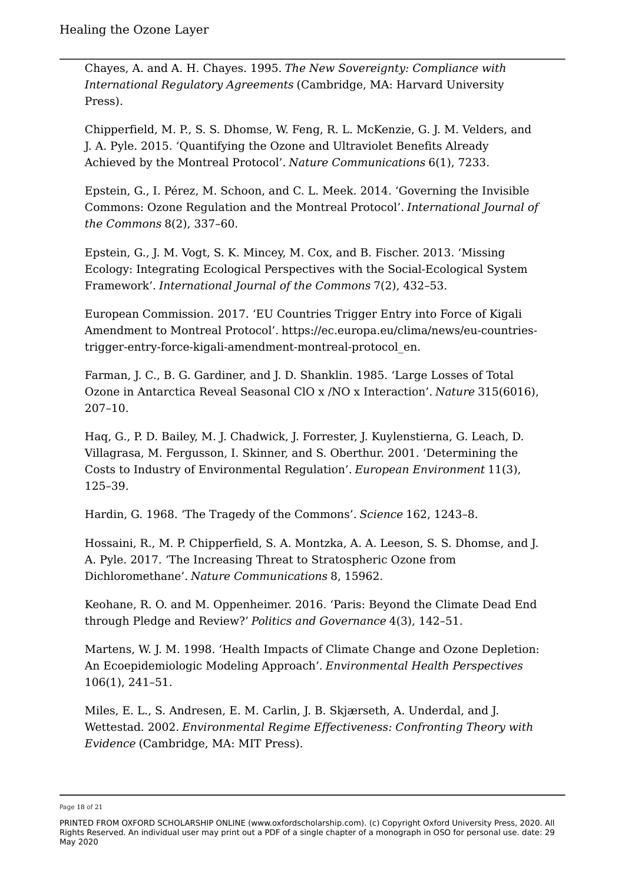Chayes, A. and A. H. Chayes. 1995. *The New Sovereignty: Compliance with International Regulatory Agreements* (Cambridge, MA: Harvard University Press).

Chipperfield, M. P., S. S. Dhomse, W. Feng, R. L. McKenzie, G. J. M. Velders, and J. A. Pyle. 2015. 'Quantifying the Ozone and Ultraviolet Benefits Already Achieved by the Montreal Protocol'. *Nature Communications* 6(1), 7233.

Epstein, G., I. Pérez, M. Schoon, and C. L. Meek. 2014. 'Governing the Invisible Commons: Ozone Regulation and the Montreal Protocol'. *International Journal of the Commons* 8(2), 337–60.

Epstein, G., J. M. Vogt, S. K. Mincey, M. Cox, and B. Fischer. 2013. 'Missing Ecology: Integrating Ecological Perspectives with the Social-Ecological System Framework'. *International Journal of the Commons* 7(2), 432–53.

European Commission. 2017. 'EU Countries Trigger Entry into Force of Kigali Amendment to Montreal Protocol'. [https://ec.europa.eu/clima/news/eu-countries](https://ec.europa.eu/clima/news/eu-countries-trigger-entry-force-kigali-amendment-montreal-protocol_en)[trigger-entry-force-kigali-amendment-montreal-protocol\\_en.](https://ec.europa.eu/clima/news/eu-countries-trigger-entry-force-kigali-amendment-montreal-protocol_en)

Farman, J. C., B. G. Gardiner, and J. D. Shanklin. 1985. 'Large Losses of Total Ozone in Antarctica Reveal Seasonal ClO x /NO x Interaction'. *Nature* 315(6016), 207–10.

Haq, G., P. D. Bailey, M. J. Chadwick, J. Forrester, J. Kuylenstierna, G. Leach, D. Villagrasa, M. Fergusson, I. Skinner, and S. Oberthur. 2001. 'Determining the Costs to Industry of Environmental Regulation'. *European Environment* 11(3), 125–39.

Hardin, G. 1968. 'The Tragedy of the Commons'. *Science* 162, 1243–8.

Hossaini, R., M. P. Chipperfield, S. A. Montzka, A. A. Leeson, S. S. Dhomse, and J. A. Pyle. 2017. 'The Increasing Threat to Stratospheric Ozone from Dichloromethane'. *Nature Communications* 8, 15962.

Keohane, R. O. and M. Oppenheimer. 2016. 'Paris: Beyond the Climate Dead End through Pledge and Review?' *Politics and Governance* 4(3), 142–51.

Martens, W. J. M. 1998. 'Health Impacts of Climate Change and Ozone Depletion: An Ecoepidemiologic Modeling Approach'. *Environmental Health Perspectives* 106(1), 241–51.

Miles, E. L., S. Andresen, E. M. Carlin, J. B. Skjærseth, A. Underdal, and J. Wettestad. 2002. *Environmental Regime Effectiveness: Confronting Theory with Evidence* (Cambridge, MA: MIT Press).

Page 18 of 21

PRINTED FROM OXFORD SCHOLARSHIP ONLINE (www.oxfordscholarship.com). (c) Copyright Oxford University Press, 2020. All Rights Reserved. An individual user may print out a PDF of a single chapter of a monograph in OSO for personal use. date: 29 May 2020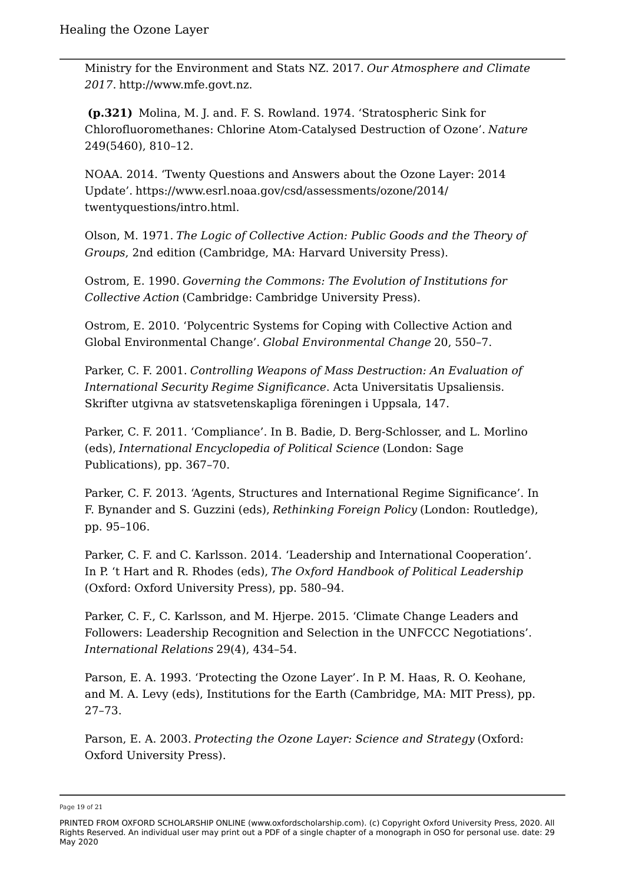Ministry for the Environment and Stats NZ. 2017. *Our Atmosphere and Climate 2017*. <http://www.mfe.govt.nz>.

 **(p.321)** Molina, M. J. and. F. S. Rowland. 1974. 'Stratospheric Sink for Chlorofluoromethanes: Chlorine Atom-Catalysed Destruction of Ozone'. *Nature* 249(5460), 810–12.

NOAA. 2014. 'Twenty Questions and Answers about the Ozone Layer: 2014 Update'. [https://www.esrl.noaa.gov/csd/assessments/ozone/2014/](https://www.esrl.noaa.gov/csd/assessments/ozone/2014/twentyquestions/intro.html) [twentyquestions/intro.html.](https://www.esrl.noaa.gov/csd/assessments/ozone/2014/twentyquestions/intro.html)

Olson, M. 1971. *The Logic of Collective Action: Public Goods and the Theory of Groups*, 2nd edition (Cambridge, MA: Harvard University Press).

Ostrom, E. 1990. *Governing the Commons: The Evolution of Institutions for Collective Action* (Cambridge: Cambridge University Press).

Ostrom, E. 2010. 'Polycentric Systems for Coping with Collective Action and Global Environmental Change'. *Global Environmental Change* 20, 550–7.

Parker, C. F. 2001. *Controlling Weapons of Mass Destruction: An Evaluation of International Security Regime Significance*. Acta Universitatis Upsaliensis. Skrifter utgivna av statsvetenskapliga föreningen i Uppsala, 147.

Parker, C. F. 2011. 'Compliance'. In B. Badie, D. Berg-Schlosser, and L. Morlino (eds), *International Encyclopedia of Political Science* (London: Sage Publications), pp. 367–70.

Parker, C. F. 2013. 'Agents, Structures and International Regime Significance'. In F. Bynander and S. Guzzini (eds), *Rethinking Foreign Policy* (London: Routledge), pp. 95–106.

Parker, C. F. and C. Karlsson. 2014. 'Leadership and International Cooperation'. In P. 't Hart and R. Rhodes (eds), *The Oxford Handbook of Political Leadership* (Oxford: Oxford University Press), pp. 580–94.

Parker, C. F., C. Karlsson, and M. Hjerpe. 2015. 'Climate Change Leaders and Followers: Leadership Recognition and Selection in the UNFCCC Negotiations'. *International Relations* 29(4), 434–54.

Parson, E. A. 1993. 'Protecting the Ozone Layer'. In P. M. Haas, R. O. Keohane, and M. A. Levy (eds), Institutions for the Earth (Cambridge, MA: MIT Press), pp. 27–73.

Parson, E. A. 2003. *Protecting the Ozone Layer: Science and Strategy* (Oxford: Oxford University Press).

Page 19 of 21

PRINTED FROM OXFORD SCHOLARSHIP ONLINE (www.oxfordscholarship.com). (c) Copyright Oxford University Press, 2020. All Rights Reserved. An individual user may print out a PDF of a single chapter of a monograph in OSO for personal use. date: 29 May 2020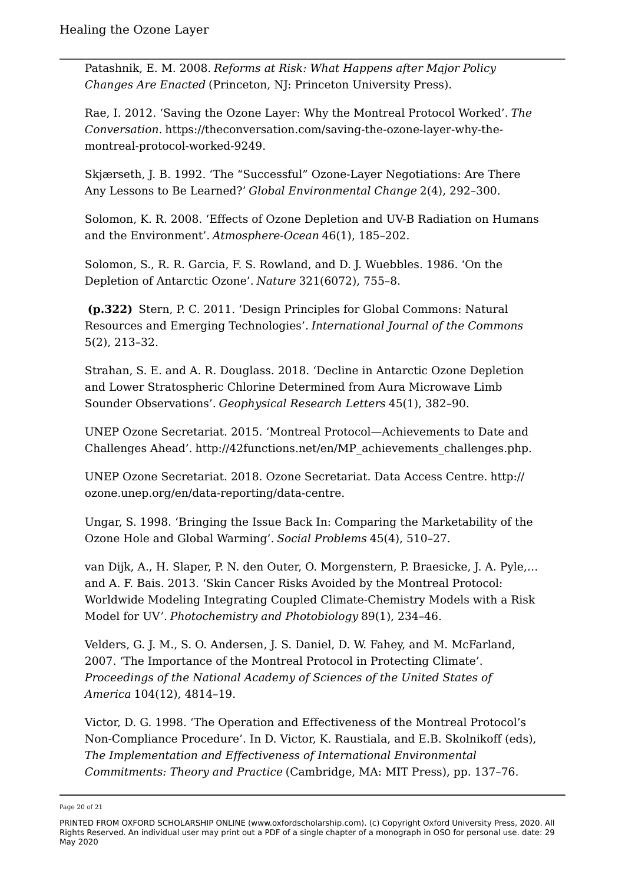Patashnik, E. M. 2008. *Reforms at Risk: What Happens after Major Policy Changes Are Enacted* (Princeton, NJ: Princeton University Press).

Rae, I. 2012. 'Saving the Ozone Layer: Why the Montreal Protocol Worked'. *The Conversation*. [https://theconversation.com/saving-the-ozone-layer-why-the](https://theconversation.com/saving-the-ozone-layer-why-the-montreal-protocol-worked-9249)[montreal-protocol-worked-9249.](https://theconversation.com/saving-the-ozone-layer-why-the-montreal-protocol-worked-9249)

Skjærseth, J. B. 1992. 'The "Successful" Ozone-Layer Negotiations: Are There Any Lessons to Be Learned?' *Global Environmental Change* 2(4), 292–300.

Solomon, K. R. 2008. 'Effects of Ozone Depletion and UV-B Radiation on Humans and the Environment'. *Atmosphere-Ocean* 46(1), 185–202.

Solomon, S., R. R. Garcia, F. S. Rowland, and D. J. Wuebbles. 1986. 'On the Depletion of Antarctic Ozone'. *Nature* 321(6072), 755–8.

 **(p.322)** Stern, P. C. 2011. 'Design Principles for Global Commons: Natural Resources and Emerging Technologies'. *International Journal of the Commons* 5(2), 213–32.

Strahan, S. E. and A. R. Douglass. 2018. 'Decline in Antarctic Ozone Depletion and Lower Stratospheric Chlorine Determined from Aura Microwave Limb Sounder Observations'. *Geophysical Research Letters* 45(1), 382–90.

UNEP Ozone Secretariat. 2015. 'Montreal Protocol—Achievements to Date and Challenges Ahead'. [http://42functions.net/en/MP\\_achievements\\_challenges.php.](http://42functions.net/en/MP_achievements_challenges.php)

UNEP Ozone Secretariat. 2018. Ozone Secretariat. Data Access Centre. [http://](http://ozone.unep.org/en/data-reporting/data-centre) [ozone.unep.org/en/data-reporting/data-centre](http://ozone.unep.org/en/data-reporting/data-centre).

Ungar, S. 1998. 'Bringing the Issue Back In: Comparing the Marketability of the Ozone Hole and Global Warming'. *Social Problems* 45(4), 510–27.

van Dijk, A., H. Slaper, P. N. den Outer, O. Morgenstern, P. Braesicke, J. A. Pyle,… and A. F. Bais. 2013. 'Skin Cancer Risks Avoided by the Montreal Protocol: Worldwide Modeling Integrating Coupled Climate-Chemistry Models with a Risk Model for UV'. *Photochemistry and Photobiology* 89(1), 234–46.

Velders, G. J. M., S. O. Andersen, J. S. Daniel, D. W. Fahey, and M. McFarland, 2007. 'The Importance of the Montreal Protocol in Protecting Climate'. *Proceedings of the National Academy of Sciences of the United States of America* 104(12), 4814–19.

Victor, D. G. 1998. 'The Operation and Effectiveness of the Montreal Protocol's Non-Compliance Procedure'. In D. Victor, K. Raustiala, and E.B. Skolnikoff (eds), *The Implementation and Effectiveness of International Environmental Commitments: Theory and Practice* (Cambridge, MA: MIT Press), pp. 137–76.

Page 20 of 21

PRINTED FROM OXFORD SCHOLARSHIP ONLINE (www.oxfordscholarship.com). (c) Copyright Oxford University Press, 2020. All Rights Reserved. An individual user may print out a PDF of a single chapter of a monograph in OSO for personal use. date: 29 May 2020